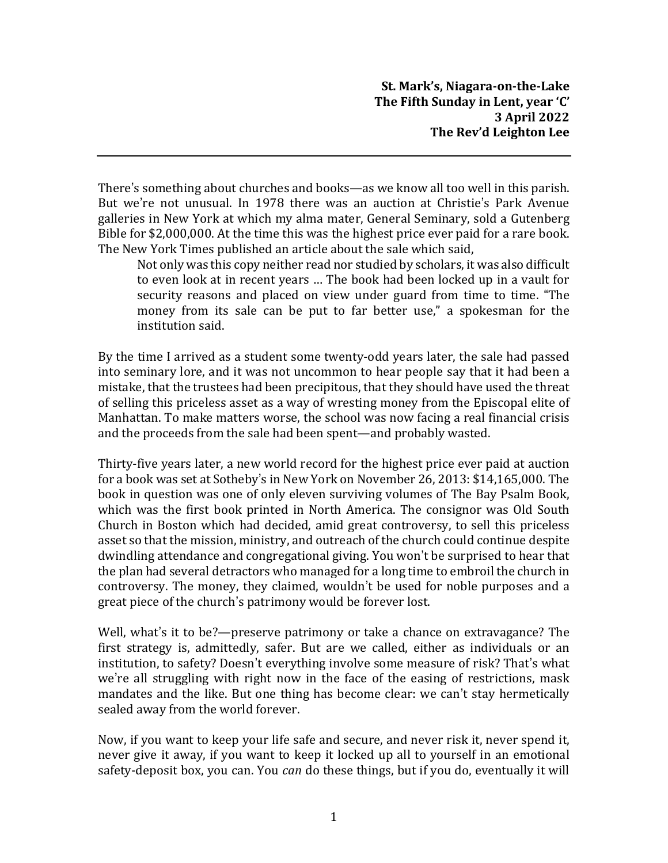**St. Mark's, Niagara-on-the-Lake The Fifth Sunday in Lent, year 'C' 3 April 2022 The Rev'd Leighton Lee**

There's something about churches and books—as we know all too well in this parish. But we're not unusual. In 1978 there was an auction at Christie's Park Avenue galleries in New York at which my alma mater, General Seminary, sold a Gutenberg Bible for \$2,000,000. At the time this was the highest price ever paid for a rare book. The New York Times published an article about the sale which said,

Not only was this copy neither read nor studied by scholars, it was also difficult to even look at in recent years … The book had been locked up in a vault for security reasons and placed on view under guard from time to time. "The money from its sale can be put to far better use," a spokesman for the institution said.

By the time I arrived as a student some twenty-odd years later, the sale had passed into seminary lore, and it was not uncommon to hear people say that it had been a mistake, that the trustees had been precipitous, that they should have used the threat of selling this priceless asset as a way of wresting money from the Episcopal elite of Manhattan. To make matters worse, the school was now facing a real financial crisis and the proceeds from the sale had been spent—and probably wasted.

Thirty-five years later, a new world record for the highest price ever paid at auction for a book was set at Sotheby's in New York on November 26, 2013: \$14,165,000. The book in question was one of only eleven surviving volumes of The Bay Psalm Book, which was the first book printed in North America. The consignor was Old South Church in Boston which had decided, amid great controversy, to sell this priceless asset so that the mission, ministry, and outreach of the church could continue despite dwindling attendance and congregational giving. You won't be surprised to hear that the plan had several detractors who managed for a long time to embroil the church in controversy. The money, they claimed, wouldn't be used for noble purposes and a great piece of the church's patrimony would be forever lost.

Well, what's it to be?—preserve patrimony or take a chance on extravagance? The first strategy is, admittedly, safer. But are we called, either as individuals or an institution, to safety? Doesn't everything involve some measure of risk? That's what we're all struggling with right now in the face of the easing of restrictions, mask mandates and the like. But one thing has become clear: we can't stay hermetically sealed away from the world forever.

Now, if you want to keep your life safe and secure, and never risk it, never spend it, never give it away, if you want to keep it locked up all to yourself in an emotional safety-deposit box, you can. You *can* do these things, but if you do, eventually it will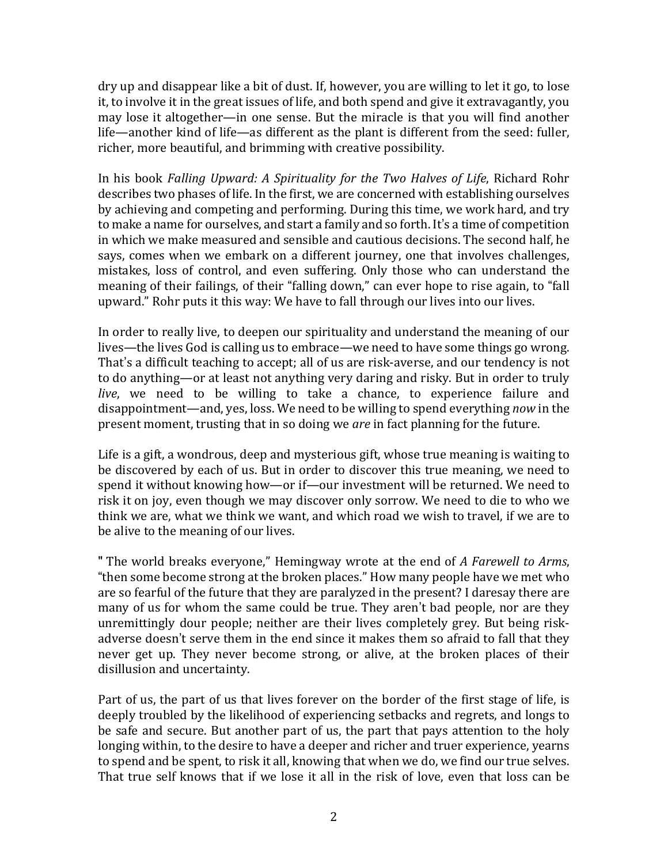dry up and disappear like a bit of dust. If, however, you are willing to let it go, to lose it, to involve it in the great issues of life, and both spend and give it extravagantly, you may lose it altogether—in one sense. But the miracle is that you will find another life—another kind of life—as different as the plant is different from the seed: fuller, richer, more beautiful, and brimming with creative possibility.

In his book *Falling Upward: A Spirituality for the Two Halves of Life*, Richard Rohr describes two phases of life. In the first, we are concerned with establishing ourselves by achieving and competing and performing. During this time, we work hard, and try to make a name for ourselves, and start a family and so forth. It's a time of competition in which we make measured and sensible and cautious decisions. The second half, he says, comes when we embark on a different journey, one that involves challenges, mistakes, loss of control, and even suffering. Only those who can understand the meaning of their failings, of their "falling down," can ever hope to rise again, to "fall upward." Rohr puts it this way: We have to fall through our lives into our lives.

In order to really live, to deepen our spirituality and understand the meaning of our lives—the lives God is calling us to embrace—we need to have some things go wrong. That's a difficult teaching to accept; all of us are risk-averse, and our tendency is not to do anything—or at least not anything very daring and risky. But in order to truly *live*, we need to be willing to take a chance, to experience failure and disappointment—and, yes, loss. We need to be willing to spend everything *now* in the present moment, trusting that in so doing we *are* in fact planning for the future.

Life is a gift, a wondrous, deep and mysterious gift, whose true meaning is waiting to be discovered by each of us. But in order to discover this true meaning, we need to spend it without knowing how—or if—our investment will be returned. We need to risk it on joy, even though we may discover only sorrow. We need to die to who we think we are, what we think we want, and which road we wish to travel, if we are to be alive to the meaning of our lives.

" The world breaks everyone," Hemingway wrote at the end of *A Farewell to Arms*, "then some become strong at the broken places." How many people have we met who are so fearful of the future that they are paralyzed in the present? I daresay there are many of us for whom the same could be true. They aren't bad people, nor are they unremittingly dour people; neither are their lives completely grey. But being riskadverse doesn't serve them in the end since it makes them so afraid to fall that they never get up. They never become strong, or alive, at the broken places of their disillusion and uncertainty.

Part of us, the part of us that lives forever on the border of the first stage of life, is deeply troubled by the likelihood of experiencing setbacks and regrets, and longs to be safe and secure. But another part of us, the part that pays attention to the holy longing within, to the desire to have a deeper and richer and truer experience, yearns to spend and be spent, to risk it all, knowing that when we do, we find our true selves. That true self knows that if we lose it all in the risk of love, even that loss can be